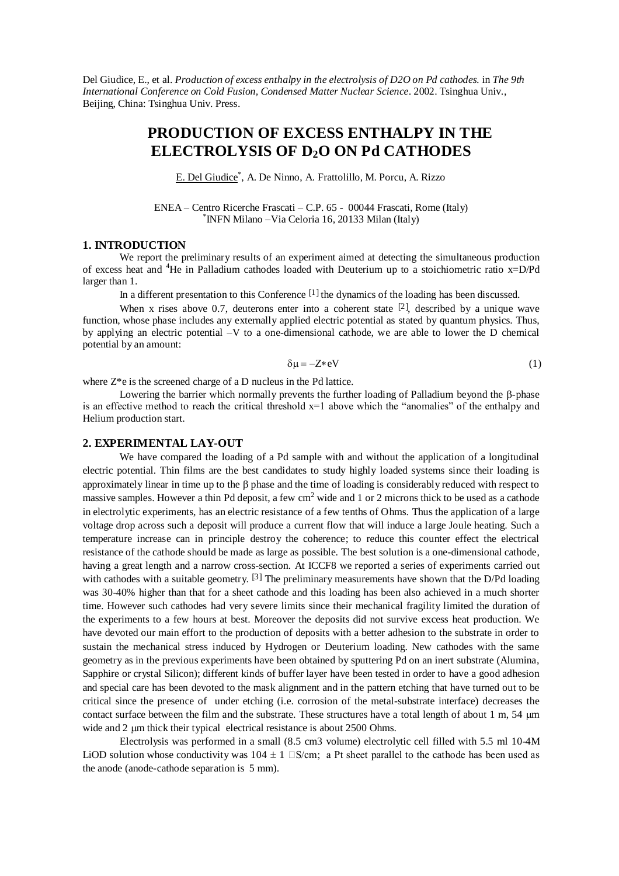Del Giudice, E., et al. *Production of excess enthalpy in the electrolysis of D2O on Pd cathodes.* in *The 9th International Conference on Cold Fusion, Condensed Matter Nuclear Science*. 2002. Tsinghua Univ., Beijing, China: Tsinghua Univ. Press.

# **PRODUCTION OF EXCESS ENTHALPY IN THE ELECTROLYSIS OF D2O ON Pd CATHODES**

E. Del Giudice<sup>\*</sup>, A. De Ninno, A. Frattolillo, M. Porcu, A. Rizzo

ENEA –Centro Ricerche Frascati –C.P. 65 - 00044 Frascati, Rome (Italy) \* INFN Milano –Via Celoria 16, 20133 Milan (Italy)

#### **1. INTRODUCTION**

We report the preliminary results of an experiment aimed at detecting the simultaneous production of excess heat and <sup>4</sup>He in Palladium cathodes loaded with Deuterium up to a stoichiometric ratio x=D/Pd larger than 1.

In a different presentation to this Conference  $\left[1\right]$  the dynamics of the loading has been discussed.

When x rises above 0.7, deuterons enter into a coherent state  $[2]$ , described by a unique wave function, whose phase includes any externally applied electric potential as stated by quantum physics. Thus, by applying an electric potential –V to a one-dimensional cathode, we are able to lower the D chemical potential by an amount:

$$
\delta \mu = -Z \cdot eV \tag{1}
$$

where Z\*e is the screened charge of a D nucleus in the Pd lattice.

Lowering the barrier which normally prevents the further loading of Palladium beyond the  $\beta$ -phase is an effective method to reach the critical threshold  $x=1$  above which the "anomalies" of the enthalpy and Helium production start.

## **2. EXPERIMENTAL LAY-OUT**

We have compared the loading of a Pd sample with and without the application of a longitudinal electric potential. Thin films are the best candidates to study highly loaded systems since their loading is approximately linear in time up to the  $\beta$  phase and the time of loading is considerably reduced with respect to massive samples. However a thin Pd deposit, a few  $cm<sup>2</sup>$  wide and 1 or 2 microns thick to be used as a cathode in electrolytic experiments, has an electric resistance of a few tenths of Ohms. Thus the application of a large voltage drop across such a deposit will produce a current flow that will induce a large Joule heating. Such a temperature increase can in principle destroy the coherence; to reduce this counter effect the electrical resistance of the cathode should be made as large as possible. The best solution is a one-dimensional cathode, having a great length and a narrow cross-section. At ICCF8 we reported a series of experiments carried out with cathodes with a suitable geometry.  $[3]$  The preliminary measurements have shown that the D/Pd loading was 30-40% higher than that for a sheet cathode and this loading has been also achieved in a much shorter time. However such cathodes had very severe limits since their mechanical fragility limited the duration of the experiments to a few hours at best. Moreover the deposits did not survive excess heat production. We have devoted our main effort to the production of deposits with a better adhesion to the substrate in order to sustain the mechanical stress induced by Hydrogen or Deuterium loading. New cathodes with the same geometry as in the previous experiments have been obtained by sputtering Pd on an inert substrate (Alumina, Sapphire or crystal Silicon); different kinds of buffer layer have been tested in order to have a good adhesion and special care has been devoted to the mask alignment and in the pattern etching that have turned out to be critical since the presence of under etching (i.e. corrosion of the metal-substrate interface) decreases the contact surface between the film and the substrate. These structures have a total length of about  $1 \text{ m}$ ,  $54 \text{ }\mu\text{m}$ wide and 2 µm thick their typical electrical resistance is about 2500 Ohms.

Electrolysis was performed in a small (8.5 cm3 volume) electrolytic cell filled with 5.5 ml 10-4M LiOD solution whose conductivity was  $104 \pm 1$   $\Box$ S/cm; a Pt sheet parallel to the cathode has been used as the anode (anode-cathode separation is 5 mm).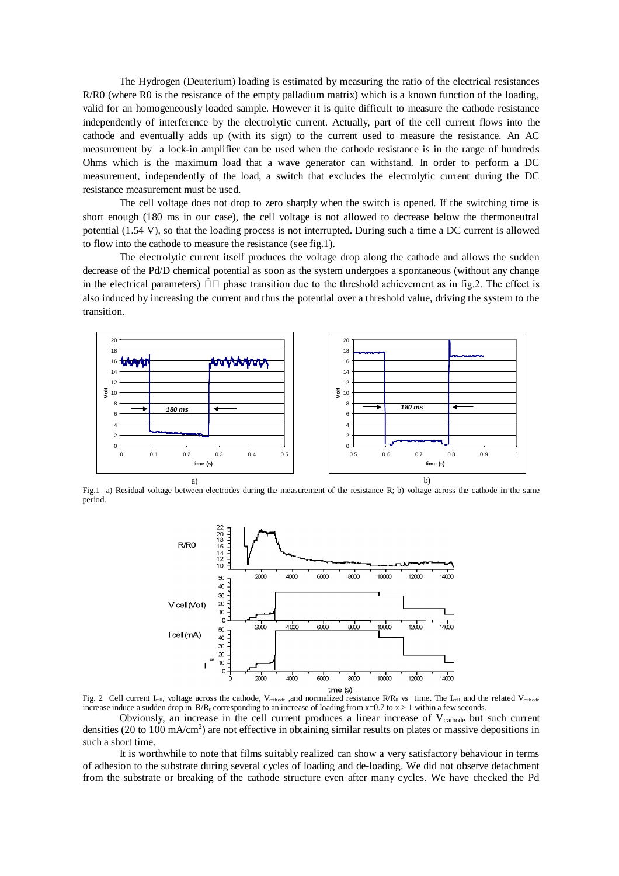The Hydrogen (Deuterium) loading is estimated by measuring the ratio of the electrical resistances R/R0 (where R0 is the resistance of the empty palladium matrix) which is a known function of the loading, valid for an homogeneously loaded sample. However it is quite difficult to measure the cathode resistance independently of interference by the electrolytic current. Actually, part of the cell current flows into the cathode and eventually adds up (with its sign) to the current used to measure the resistance. An AC measurement by a lock-in amplifier can be used when the cathode resistance is in the range of hundreds Ohms which is the maximum load that a wave generator can withstand. In order to perform a DC measurement, independently of the load, a switch that excludes the electrolytic current during the DC resistance measurement must be used.

The cell voltage does not drop to zero sharply when the switch is opened. If the switching time is short enough (180 ms in our case), the cell voltage is not allowed to decrease below the thermoneutral potential (1.54 V), so that the loading process is not interrupted. During such a time a DC current is allowed to flow into the cathode to measure the resistance (see fig.1).

The electrolytic current itself produces the voltage drop along the cathode and allows the sudden decrease of the Pd/D chemical potential as soon as the system undergoes a spontaneous (without any change in the electrical parameters)  $\tilde{\Box} \Box$  phase transition due to the threshold achievement as in fig.2. The effect is also induced by increasing the current and thus the potential over a threshold value, driving the system to the transition.



Fig.1 a) Residual voltage between electrodes during the measurement of the resistance R; b) voltage across the cathode in the same period.



Fig. 2 Cell current I<sub>cell</sub>, voltage across the cathode, V<sub>cathode</sub>, and normalized resistance R/R<sub>0</sub> vs time. The I<sub>cell</sub> and the related V<sub>cathode</sub> increase induce a sudden drop in  $R/R_0$  corresponding to an increase of loading from x=0.7 to x > 1 within a few seconds.

Obviously, an increase in the cell current produces a linear increase of  $V_{\text{cathode}}$  but such current densities (20 to 100 mA/cm<sup>2</sup>) are not effective in obtaining similar results on plates or massive depositions in such a short time.

It is worthwhile to note that films suitably realized can show a very satisfactory behaviour in terms of adhesion to the substrate during several cycles of loading and de-loading. We did not observe detachment from the substrate or breaking of the cathode structure even after many cycles. We have checked the Pd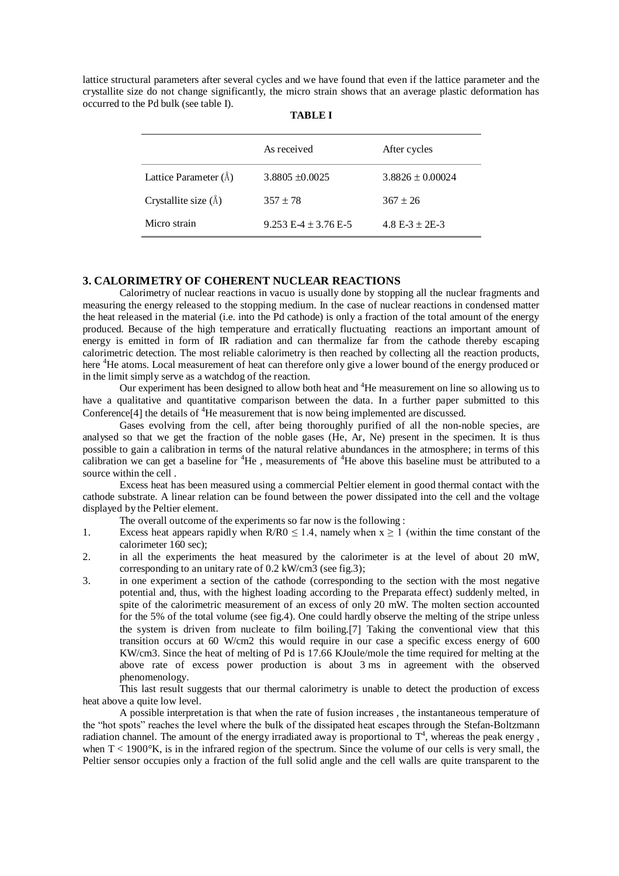lattice structural parameters after several cycles and we have found that even if the lattice parameter and the crystallite size do not change significantly, the micro strain shows that an average plastic deformation has occurred to the Pd bulk (see table I).

|                              | As received              | After cycles         |
|------------------------------|--------------------------|----------------------|
| Lattice Parameter $(\AA)$    | $3.8805 \pm 0.0025$      | $3.8826 \pm 0.00024$ |
| Crystallite size $(\hat{A})$ | $357 \pm 78$             | $367 \pm 26$         |
| Micro strain                 | $9.253 E-4 \pm 3.76 E-5$ | 4.8 E-3 $\pm$ 2E-3   |

# **3. CALORIMETRY OF COHERENT NUCLEAR REACTIONS**

Calorimetry of nuclear reactions in vacuo is usually done by stopping all the nuclear fragments and measuring the energy released to the stopping medium. In the case of nuclear reactions in condensed matter the heat released in the material (i.e. into the Pd cathode) is only a fraction of the total amount of the energy produced. Because of the high temperature and erratically fluctuating reactions an important amount of energy is emitted in form of IR radiation and can thermalize far from the cathode thereby escaping calorimetric detection. The most reliable calorimetry is then reached by collecting all the reaction products, here <sup>4</sup>He atoms. Local measurement of heat can therefore only give a lower bound of the energy produced or in the limit simply serve as a watchdog of the reaction.

Our experiment has been designed to allow both heat and <sup>4</sup>He measurement on line so allowing us to have a qualitative and quantitative comparison between the data. In a further paper submitted to this Conference<sup>[4]</sup> the details of <sup>4</sup>He measurement that is now being implemented are discussed.

Gases evolving from the cell, after being thoroughly purified of all the non-noble species, are analysed so that we get the fraction of the noble gases (He, Ar, Ne) present in the specimen. It is thus possible to gain a calibration in terms of the natural relative abundances in the atmosphere; in terms of this calibration we can get a baseline for <sup>4</sup>He, measurements of <sup>4</sup>He above this baseline must be attributed to a source within the cell .

Excess heat has been measured using a commercial Peltier element in good thermal contact with the cathode substrate. A linear relation can be found between the power dissipated into the cell and the voltage displayed by the Peltier element.

The overall outcome of the experiments so far now is the following :

- 1. Excess heat appears rapidly when R/R0  $\leq$  1.4, namely when  $x \geq 1$  (within the time constant of the calorimeter 160 sec);
- 2. in all the experiments the heat measured by the calorimeter is at the level of about 20 mW, corresponding to an unitary rate of 0.2 kW/cm3 (see fig.3);
- 3. in one experiment a section of the cathode (corresponding to the section with the most negative potential and, thus, with the highest loading according to the Preparata effect) suddenly melted, in spite of the calorimetric measurement of an excess of only 20 mW. The molten section accounted for the 5% of the total volume (see fig.4). One could hardly observe the melting of the stripe unless the system is driven from nucleate to film boiling.<sup>[7]</sup> Taking the conventional view that this transition occurs at 60 W/cm2 this would require in our case a specific excess energy of 600 KW/cm3. Since the heat of melting of Pd is 17.66 KJoule/mole the time required for melting at the above rate of excess power production is about 3 ms in agreement with the observed phenomenology.

This last result suggests that our thermal calorimetry is unable to detect the production of excess heat above a quite low level.

A possible interpretation is that when the rate of fusion increases , the instantaneous temperature of the "hot spots" reaches the level where the bulk of the dissipated heat escapes through the Stefan-Boltzmann radiation channel. The amount of the energy irradiated away is proportional to  $T<sup>4</sup>$ , whereas the peak energy, when  $T < 1900^\circ K$ , is in the infrared region of the spectrum. Since the volume of our cells is very small, the Peltier sensor occupies only a fraction of the full solid angle and the cell walls are quite transparent to the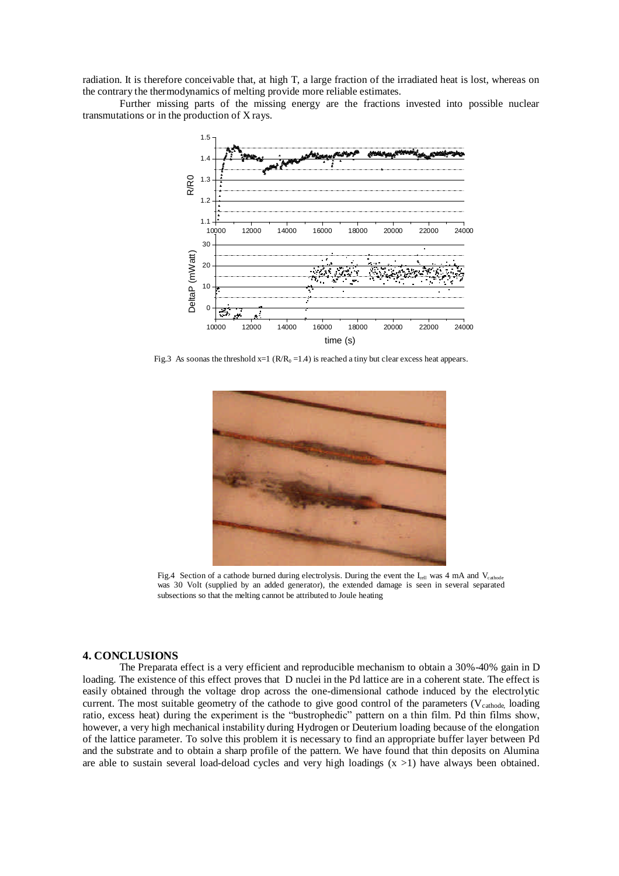radiation. It is therefore conceivable that, at high T, a large fraction of the irradiated heat is lost, whereas on the contrary the thermodynamics of melting provide more reliable estimates.

Further missing parts of the missing energy are the fractions invested into possible nuclear transmutations or in the production of X rays.



Fig.3 As soonas the threshold  $x=1$  ( $R/R_0 = 1.4$ ) is reached a tiny but clear excess heat appears.



Fig.4 Section of a cathode burned during electrolysis. During the event the  $I_{cell}$  was 4 mA and V<sub>cathode</sub> was 30 Volt (supplied by an added generator), the extended damage is seen in several separated subsections so that the melting cannot be attributed to Joule heating

### **4. CONCLUSIONS**

The Preparata effect is a very efficient and reproducible mechanism to obtain a 30%-40% gain in D loading. The existence of this effect proves that D nuclei in the Pd lattice are in a coherent state. The effect is easily obtained through the voltage drop across the one-dimensional cathode induced by the electrolytic current. The most suitable geometry of the cathode to give good control of the parameters ( $V_{\text{cathode}}$ , loading ratio, excess heat) during the experiment is the "bustrophedic" pattern on a thin film. Pd thin films show, however, a very high mechanical instability during Hydrogen or Deuterium loading because of the elongation of the lattice parameter. To solve this problem it is necessary to find an appropriate buffer layer between Pd and the substrate and to obtain a sharp profile of the pattern. We have found that thin deposits on Alumina are able to sustain several load-deload cycles and very high loadings  $(x > 1)$  have always been obtained.